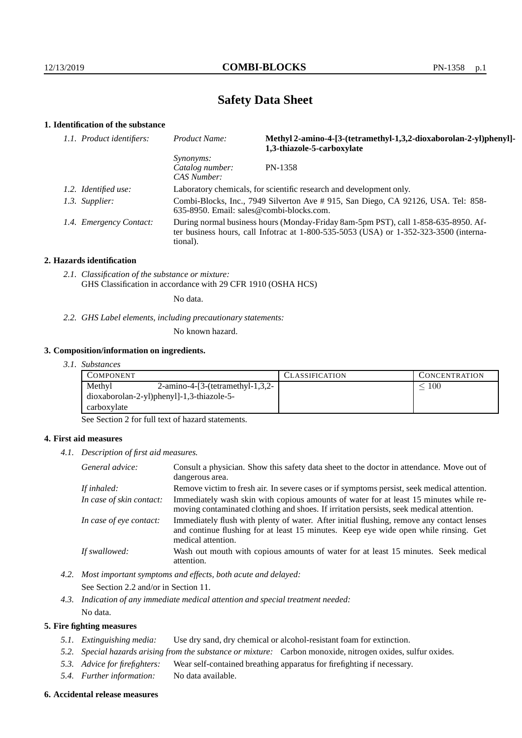# **Safety Data Sheet**

## **1. Identification of the substance**

| 1.1. Product identifiers: | Product Name:                                                                                                                                                                               | Methyl 2-amino-4-[3-(tetramethyl-1,3,2-dioxaborolan-2-yl)phenyl]-<br>1,3-thiazole-5-carboxylate |
|---------------------------|---------------------------------------------------------------------------------------------------------------------------------------------------------------------------------------------|-------------------------------------------------------------------------------------------------|
|                           | <i>Synonyms:</i><br>Catalog number:<br>CAS Number:                                                                                                                                          | PN-1358                                                                                         |
| 1.2. Identified use:      | Laboratory chemicals, for scientific research and development only.                                                                                                                         |                                                                                                 |
| 1.3. Supplier:            | Combi-Blocks, Inc., 7949 Silverton Ave # 915, San Diego, CA 92126, USA. Tel: 858-<br>$635-8950$ . Email: sales@combi-blocks.com.                                                            |                                                                                                 |
| 1.4. Emergency Contact:   | During normal business hours (Monday-Friday 8am-5pm PST), call 1-858-635-8950. Af-<br>ter business hours, call Infotrac at $1-800-535-5053$ (USA) or $1-352-323-3500$ (interna-<br>tional). |                                                                                                 |

### **2. Hazards identification**

*2.1. Classification of the substance or mixture:* GHS Classification in accordance with 29 CFR 1910 (OSHA HCS)

No data.

*2.2. GHS Label elements, including precautionary statements:*

No known hazard.

## **3. Composition/information on ingredients.**

*3.1. Substances*

| COMPONENT                                     | CLASSIFICATION | <b>CONCENTRATION</b> |
|-----------------------------------------------|----------------|----------------------|
| Methyl<br>$2$ -amino-4-[3-(tetramethyl-1,3,2- |                | 100                  |
| dioxaborolan-2-yl)phenyl]-1,3-thiazole-5-     |                |                      |
| carboxylate                                   |                |                      |

See Section 2 for full text of hazard statements.

## **4. First aid measures**

*4.1. Description of first aid measures.*

| General advice:          | Consult a physician. Show this safety data sheet to the doctor in attendance. Move out of<br>dangerous area.                                                                                            |
|--------------------------|---------------------------------------------------------------------------------------------------------------------------------------------------------------------------------------------------------|
| If inhaled:              | Remove victim to fresh air. In severe cases or if symptoms persist, seek medical attention.                                                                                                             |
| In case of skin contact: | Immediately wash skin with copious amounts of water for at least 15 minutes while re-<br>moving contaminated clothing and shoes. If irritation persists, seek medical attention.                        |
| In case of eye contact:  | Immediately flush with plenty of water. After initial flushing, remove any contact lenses<br>and continue flushing for at least 15 minutes. Keep eye wide open while rinsing. Get<br>medical attention. |
| If swallowed:            | Wash out mouth with copious amounts of water for at least 15 minutes. Seek medical<br>attention.                                                                                                        |

*4.2. Most important symptoms and effects, both acute and delayed:*

See Section 2.2 and/or in Section 11.

*4.3. Indication of any immediate medical attention and special treatment needed:* No data.

### **5. Fire fighting measures**

- *5.1. Extinguishing media:* Use dry sand, dry chemical or alcohol-resistant foam for extinction.
- *5.2. Special hazards arising from the substance or mixture:* Carbon monoxide, nitrogen oxides, sulfur oxides.
- *5.3. Advice for firefighters:* Wear self-contained breathing apparatus for firefighting if necessary.
- *5.4. Further information:* No data available.

#### **6. Accidental release measures**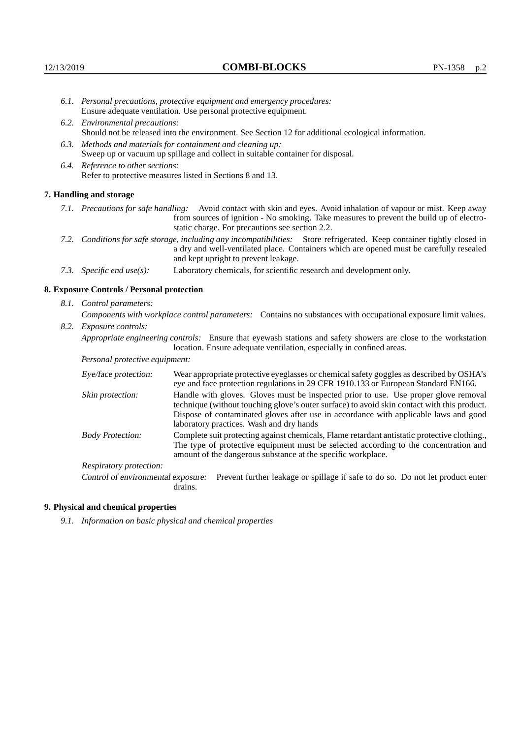- *6.1. Personal precautions, protective equipment and emergency procedures:* Ensure adequate ventilation. Use personal protective equipment.
- *6.2. Environmental precautions:* Should not be released into the environment. See Section 12 for additional ecological information.
- *6.3. Methods and materials for containment and cleaning up:* Sweep up or vacuum up spillage and collect in suitable container for disposal.
- *6.4. Reference to other sections:* Refer to protective measures listed in Sections 8 and 13.

#### **7. Handling and storage**

- *7.1. Precautions for safe handling:* Avoid contact with skin and eyes. Avoid inhalation of vapour or mist. Keep away from sources of ignition - No smoking. Take measures to prevent the build up of electrostatic charge. For precautions see section 2.2.
- *7.2. Conditions for safe storage, including any incompatibilities:* Store refrigerated. Keep container tightly closed in a dry and well-ventilated place. Containers which are opened must be carefully resealed and kept upright to prevent leakage.
- *7.3. Specific end use(s):* Laboratory chemicals, for scientific research and development only.

#### **8. Exposure Controls / Personal protection**

*8.1. Control parameters:*

*Components with workplace control parameters:* Contains no substances with occupational exposure limit values. *8.2. Exposure controls:*

*Appropriate engineering controls:* Ensure that eyewash stations and safety showers are close to the workstation

location. Ensure adequate ventilation, especially in confined areas.

*Personal protective equipment:*

| Eye/face protection:    | Wear appropriate protective eyeglasses or chemical safety goggles as described by OSHA's<br>eye and face protection regulations in 29 CFR 1910.133 or European Standard EN166.                                                                                                                                         |
|-------------------------|------------------------------------------------------------------------------------------------------------------------------------------------------------------------------------------------------------------------------------------------------------------------------------------------------------------------|
| Skin protection:        | Handle with gloves. Gloves must be inspected prior to use. Use proper glove removal<br>technique (without touching glove's outer surface) to avoid skin contact with this product.<br>Dispose of contaminated gloves after use in accordance with applicable laws and good<br>laboratory practices. Wash and dry hands |
| <b>Body Protection:</b> | Complete suit protecting against chemicals, Flame retardant antistatic protective clothing.,<br>The type of protective equipment must be selected according to the concentration and<br>amount of the dangerous substance at the specific workplace.                                                                   |
| Respiratory protection: |                                                                                                                                                                                                                                                                                                                        |

Control of environmental exposure: Prevent further leakage or spillage if safe to do so. Do not let product enter drains.

#### **9. Physical and chemical properties**

*9.1. Information on basic physical and chemical properties*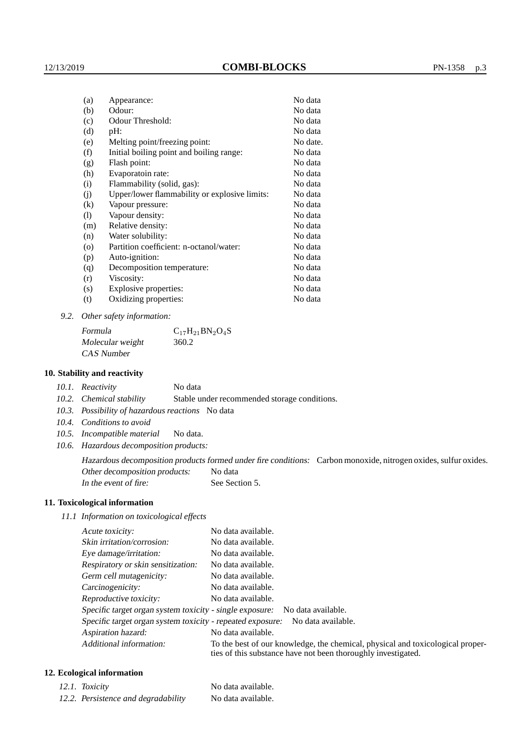| (a)     | Appearance:                                   | No data  |
|---------|-----------------------------------------------|----------|
| (b)     | Odour:                                        | No data  |
| (c)     | Odour Threshold:                              | No data  |
| (d)     | $pH$ :                                        | No data  |
| (e)     | Melting point/freezing point:                 | No date. |
| (f)     | Initial boiling point and boiling range:      | No data  |
| (g)     | Flash point:                                  | No data  |
| (h)     | Evaporatoin rate:                             | No data  |
| (i)     | Flammability (solid, gas):                    | No data  |
| (j)     | Upper/lower flammability or explosive limits: | No data  |
| (k)     | Vapour pressure:                              | No data  |
| (1)     | Vapour density:                               | No data  |
| (m)     | Relative density:                             | No data  |
| (n)     | Water solubility:                             | No data  |
| $\circ$ | Partition coefficient: n-octanol/water:       | No data  |
| (p)     | Auto-ignition:                                | No data  |
| (q)     | Decomposition temperature:                    | No data  |
| (r)     | Viscosity:                                    | No data  |
| (s)     | Explosive properties:                         | No data  |
| (t)     | Oxidizing properties:                         | No data  |
|         |                                               |          |

*9.2. Other safety information:*

Formula  $C_{17}H_{21}BN_2O_4S$ Molecular weight 360.2 CAS Number

### **10. Stability and reactivity**

*10.1. Reactivity* No data

*10.2. Chemical stability* Stable under recommended storage conditions.

- *10.3. Possibility of hazardous reactions* No data
- *10.4. Conditions to avoid*
- *10.5. Incompatible material* No data.
- *10.6. Hazardous decomposition products:*

Hazardous decomposition products formed under fire conditions: Carbon monoxide, nitrogen oxides, sulfur oxides. Other decomposition products: No data In the event of fire: See Section 5.

### **11. Toxicological information**

*11.1 Information on toxicological effects*

| Acute toxicity:                                                                  | No data available.                                                                                                                              |  |  |  |
|----------------------------------------------------------------------------------|-------------------------------------------------------------------------------------------------------------------------------------------------|--|--|--|
| Skin irritation/corrosion:                                                       | No data available.                                                                                                                              |  |  |  |
| Eye damage/irritation:                                                           | No data available.                                                                                                                              |  |  |  |
| Respiratory or skin sensitization:                                               | No data available.                                                                                                                              |  |  |  |
| Germ cell mutagenicity:                                                          | No data available.                                                                                                                              |  |  |  |
| Carcinogenicity:                                                                 | No data available.                                                                                                                              |  |  |  |
| Reproductive toxicity:                                                           | No data available.                                                                                                                              |  |  |  |
| Specific target organ system toxicity - single exposure:<br>No data available.   |                                                                                                                                                 |  |  |  |
| Specific target organ system toxicity - repeated exposure:<br>No data available. |                                                                                                                                                 |  |  |  |
| Aspiration hazard:                                                               | No data available.                                                                                                                              |  |  |  |
| Additional information:                                                          | To the best of our knowledge, the chemical, physical and toxicological proper-<br>ties of this substance have not been thoroughly investigated. |  |  |  |

## **12. Ecological information**

| 12.1. Toxicity                      | No data available. |
|-------------------------------------|--------------------|
| 12.2. Persistence and degradability | No data available. |